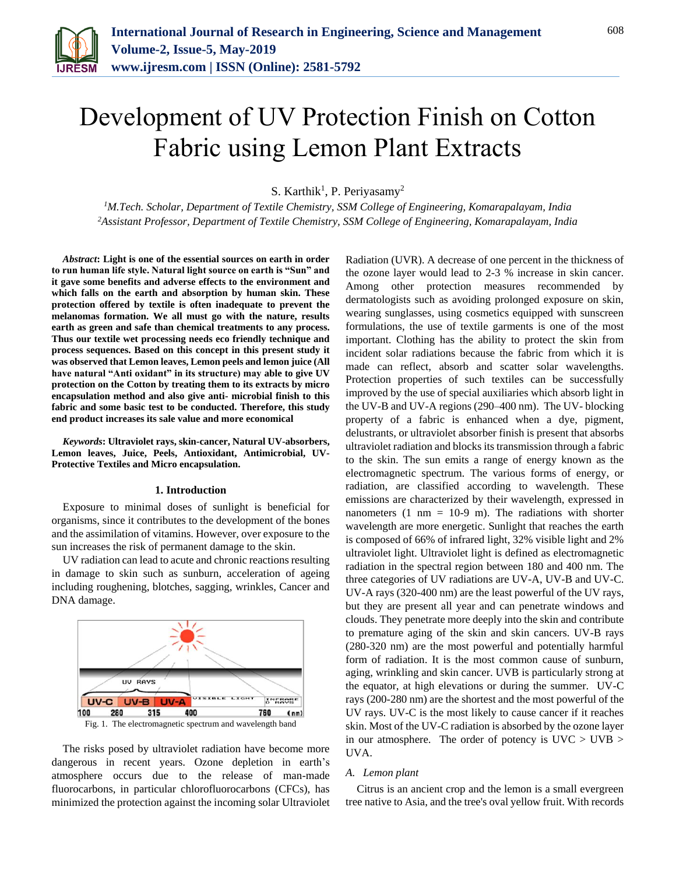

# Development of UV Protection Finish on Cotton Fabric using Lemon Plant Extracts

S. Karthik<sup>1</sup>, P. Periyasamy<sup>2</sup>

*<sup>1</sup>M.Tech. Scholar, Department of Textile Chemistry, SSM College of Engineering, Komarapalayam, India 2Assistant Professor, Department of Textile Chemistry, SSM College of Engineering, Komarapalayam, India*

*Abstract***: Light is one of the essential sources on earth in order to run human life style. Natural light source on earth is "Sun" and it gave some benefits and adverse effects to the environment and which falls on the earth and absorption by human skin. These protection offered by textile is often inadequate to prevent the melanomas formation. We all must go with the nature, results earth as green and safe than chemical treatments to any process. Thus our textile wet processing needs eco friendly technique and process sequences. Based on this concept in this present study it was observed that Lemon leaves, Lemon peels and lemon juice (All have natural "Anti oxidant" in its structure) may able to give UV protection on the Cotton by treating them to its extracts by micro encapsulation method and also give anti- microbial finish to this fabric and some basic test to be conducted. Therefore, this study end product increases its sale value and more economical**

*Keywords***: Ultraviolet rays, skin-cancer, Natural UV-absorbers, Lemon leaves, Juice, Peels, Antioxidant, Antimicrobial, UV-Protective Textiles and Micro encapsulation.**

#### **1. Introduction**

Exposure to minimal doses of sunlight is beneficial for organisms, since it contributes to the development of the bones and the assimilation of vitamins. However, over exposure to the sun increases the risk of permanent damage to the skin.

UV radiation can lead to acute and chronic reactions resulting in damage to skin such as sunburn, acceleration of ageing including roughening, blotches, sagging, wrinkles, Cancer and DNA damage.



The risks posed by ultraviolet radiation have become more dangerous in recent years. Ozone depletion in earth's atmosphere occurs due to the release of man-made fluorocarbons, in particular chlorofluorocarbons (CFCs), has minimized the protection against the incoming solar Ultraviolet Radiation (UVR). A decrease of one percent in the thickness of the ozone layer would lead to 2-3 % increase in skin cancer. Among other protection measures recommended by dermatologists such as avoiding prolonged exposure on skin, wearing sunglasses, using cosmetics equipped with sunscreen formulations, the use of textile garments is one of the most important. Clothing has the ability to protect the skin from incident solar radiations because the fabric from which it is made can reflect, absorb and scatter solar wavelengths. Protection properties of such textiles can be successfully improved by the use of special auxiliaries which absorb light in the UV-B and UV-A regions (290–400 nm). The UV- blocking property of a fabric is enhanced when a dye, pigment, delustrants, or ultraviolet absorber finish is present that absorbs ultraviolet radiation and blocks its transmission through a fabric to the skin. The sun emits a range of energy known as the electromagnetic spectrum. The various forms of energy, or radiation, are classified according to wavelength. These emissions are characterized by their wavelength, expressed in nanometers  $(1 \text{ nm} = 10\n-9 \text{ m})$ . The radiations with shorter wavelength are more energetic. Sunlight that reaches the earth is composed of 66% of infrared light, 32% visible light and 2% ultraviolet light. Ultraviolet light is defined as electromagnetic radiation in the spectral region between 180 and 400 nm. The three categories of UV radiations are UV-A, UV-B and UV-C. UV-A rays (320-400 nm) are the least powerful of the UV rays, but they are present all year and can penetrate windows and clouds. They penetrate more deeply into the skin and contribute to premature aging of the skin and skin cancers. UV-B rays (280-320 nm) are the most powerful and potentially harmful form of radiation. It is the most common cause of sunburn, aging, wrinkling and skin cancer. UVB is particularly strong at the equator, at high elevations or during the summer. UV-C rays (200-280 nm) are the shortest and the most powerful of the UV rays. UV-C is the most likely to cause cancer if it reaches skin. Most of the UV-C radiation is absorbed by the ozone layer in our atmosphere. The order of potency is UVC > UVB > UVA.

# *A. Lemon plant*

Citrus is an ancient crop and the lemon is a small evergreen tree native to Asia, and the tree's oval yellow fruit. With records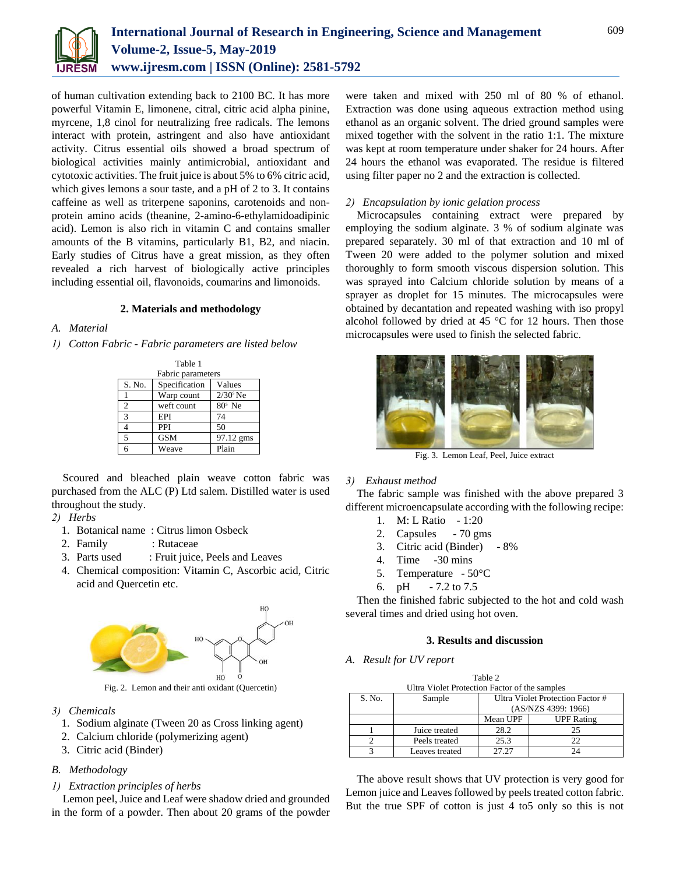

of human cultivation extending back to 2100 BC. It has more powerful Vitamin E, limonene, citral, citric acid alpha pinine, myrcene, 1,8 cinol for neutralizing free radicals. The lemons interact with protein, astringent and also have antioxidant activity. Citrus essential oils showed a broad spectrum of biological activities mainly antimicrobial, antioxidant and cytotoxic activities. The fruit juice is about 5% to 6% citric acid, which gives lemons a sour taste, and a pH of 2 to 3. It contains caffeine as well as triterpene saponins, carotenoids and nonprotein amino acids (theanine, 2-amino-6-ethylamidoadipinic acid). Lemon is also rich in vitamin C and contains smaller amounts of the B vitamins, particularly B1, B2, and niacin. Early studies of Citrus have a great mission, as they often revealed a rich harvest of biologically active principles including essential oil, flavonoids, coumarins and limonoids.

## **2. Materials and methodology**

# *A. Material*

*1) Cotton Fabric - Fabric parameters are listed below*

| Table 1           |               |                        |  |  |
|-------------------|---------------|------------------------|--|--|
| Fabric parameters |               |                        |  |  |
| S. No.            | Specification | Values                 |  |  |
|                   | Warp count    | $2/30$ <sup>s</sup> Ne |  |  |
| $\overline{c}$    | weft count    | $80s$ Ne               |  |  |
| 3                 | EPI           | 74                     |  |  |
|                   | PPI           | 50                     |  |  |
| 5                 | <b>GSM</b>    | 97.12 gms              |  |  |
| 6                 | Weave         | Plain                  |  |  |

Scoured and bleached plain weave cotton fabric was purchased from the ALC (P) Ltd salem. Distilled water is used throughout the study.

## *2) Herbs*

- 1. Botanical name : Citrus limon Osbeck
- 2. Family : Rutaceae
- 3. Parts used : Fruit juice, Peels and Leaves
- 4. Chemical composition: Vitamin C, Ascorbic acid, Citric acid and Quercetin etc.



*3) Chemicals*

- 1. Sodium alginate (Tween 20 as Cross linking agent)
- 2. Calcium chloride (polymerizing agent)
- 3. Citric acid (Binder)

# *B. Methodology*

#### *1) Extraction principles of herbs*

Lemon peel, Juice and Leaf were shadow dried and grounded in the form of a powder. Then about 20 grams of the powder

were taken and mixed with 250 ml of 80 % of ethanol. Extraction was done using aqueous extraction method using ethanol as an organic solvent. The dried ground samples were mixed together with the solvent in the ratio 1:1. The mixture was kept at room temperature under shaker for 24 hours. After 24 hours the ethanol was evaporated. The residue is filtered using filter paper no 2 and the extraction is collected.

## *2) Encapsulation by ionic gelation process*

Microcapsules containing extract were prepared by employing the sodium alginate. 3 % of sodium alginate was prepared separately. 30 ml of that extraction and 10 ml of Tween 20 were added to the polymer solution and mixed thoroughly to form smooth viscous dispersion solution. This was sprayed into Calcium chloride solution by means of a sprayer as droplet for 15 minutes. The microcapsules were obtained by decantation and repeated washing with iso propyl alcohol followed by dried at 45 °C for 12 hours. Then those microcapsules were used to finish the selected fabric.



Fig. 3. Lemon Leaf, Peel, Juice extract

#### *3) Exhaust method*

The fabric sample was finished with the above prepared 3 different microencapsulate according with the following recipe:

- 1. M: L Ratio 1:20
- 2. Capsules 70 gms
- 3. Citric acid (Binder) 8%
- 4. Time -30 mins
- 5. Temperature 50°C
- 6. pH 7.2 to 7.5

Then the finished fabric subjected to the hot and cold wash several times and dried using hot oven.

#### **3. Results and discussion**

*A. Result for UV report*

| Table 2                                       |                |                                  |                   |  |
|-----------------------------------------------|----------------|----------------------------------|-------------------|--|
| Ultra Violet Protection Factor of the samples |                |                                  |                   |  |
| S. No.                                        | Sample         | Ultra Violet Protection Factor # |                   |  |
|                                               |                | (AS/NZS 4399: 1966)              |                   |  |
|                                               |                | Mean UPF                         | <b>UPF</b> Rating |  |
|                                               | Juice treated  | 28.2                             | 25                |  |
|                                               | Peels treated  | 25.3                             | 22                |  |
|                                               | Leaves treated | 27.27                            |                   |  |

The above result shows that UV protection is very good for Lemon juice and Leaves followed by peels treated cotton fabric. But the true SPF of cotton is just 4 to5 only so this is not